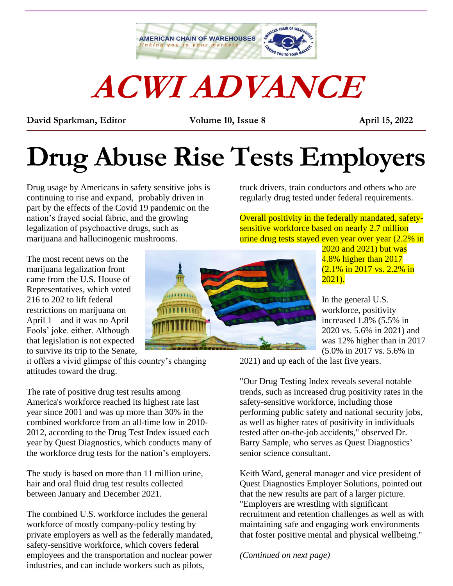

# **ACWI ADVANCE**

**David Sparkman, Editor Volume 10, Issue 8 April 15, 2022** \_\_\_\_\_\_\_\_\_\_\_\_\_\_\_\_\_\_\_\_\_\_\_\_\_\_\_\_\_\_\_\_\_\_\_\_\_\_\_\_\_\_\_\_\_\_\_\_\_\_\_\_\_\_\_\_\_\_\_\_\_\_\_\_\_\_\_\_\_\_\_\_\_\_\_\_\_\_\_\_\_\_\_\_\_\_\_\_\_\_

## **Drug Abuse Rise Tests Employers**

Drug usage by Americans in safety sensitive jobs is continuing to rise and expand, probably driven in part by the effects of the Covid 19 pandemic on the nation's frayed social fabric, and the growing legalization of psychoactive drugs, such as marijuana and hallucinogenic mushrooms.

The most recent news on the marijuana legalization front came from the U.S. House of Representatives, which voted 216 to 202 to lift federal restrictions on marijuana on April 1 – and it was no April Fools' joke. either. Although that legislation is not expected to survive its trip to the Senate,

it offers a vivid glimpse of this country's changing attitudes toward the drug.

The rate of positive drug test results among America's workforce reached its highest rate last year since 2001 and was up more than 30% in the combined workforce from an all-time low in 2010- 2012, according to the Drug Test Index issued each year by Quest Diagnostics, which conducts many of the workforce drug tests for the nation's employers.

The study is based on more than 11 million urine, hair and oral fluid drug test results collected between January and December 2021.

The combined U.S. workforce includes the general workforce of mostly company-policy testing by private employers as well as the federally mandated, safety-sensitive workforce, which covers federal employees and the transportation and nuclear power industries, and can include workers such as pilots,



truck drivers, train conductors and others who are

Overall positivity in the federally mandated, safetysensitive workforce based on nearly 2.7 million urine drug tests stayed even year over year (2.2% in



In the general U.S. workforce, positivity increased 1.8% (5.5% in 2020 vs. 5.6% in 2021) and was 12% higher than in 2017 (5.0% in 2017 vs. 5.6% in

2021) and up each of the last five years.

"Our Drug Testing Index reveals several notable trends, such as increased drug positivity rates in the safety-sensitive workforce, including those performing public safety and national security jobs, as well as higher rates of positivity in individuals tested after on-the-job accidents," observed Dr. Barry Sample, who serves as Quest Diagnostics' senior science consultant.

Keith Ward, general manager and vice president of Quest Diagnostics Employer Solutions, pointed out that the new results are part of a larger picture. "Employers are wrestling with significant recruitment and retention challenges as well as with maintaining safe and engaging work environments that foster positive mental and physical wellbeing."

*(Continued on next page)*

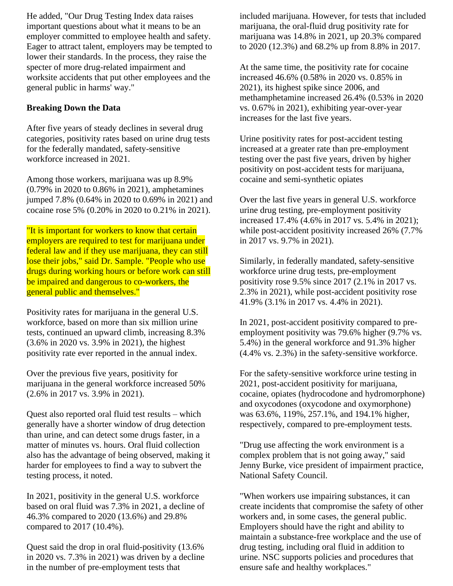He added, "Our Drug Testing Index data raises important questions about what it means to be an employer committed to employee health and safety. Eager to attract talent, employers may be tempted to lower their standards. In the process, they raise the specter of more drug-related impairment and worksite accidents that put other employees and the general public in harms' way."

#### **Breaking Down the Data**

After five years of steady declines in several drug categories, positivity rates based on urine drug tests for the federally mandated, safety-sensitive workforce increased in 2021.

Among those workers, marijuana was up 8.9% (0.79% in 2020 to 0.86% in 2021), amphetamines jumped 7.8% (0.64% in 2020 to 0.69% in 2021) and cocaine rose 5% (0.20% in 2020 to 0.21% in 2021).

"It is important for workers to know that certain employers are required to test for marijuana under federal law and if they use marijuana, they can still lose their jobs," said Dr. Sample. "People who use drugs during working hours or before work can still be impaired and dangerous to co-workers, the general public and themselves."

Positivity rates for marijuana in the general U.S. workforce, based on more than six million urine tests, continued an upward climb, increasing 8.3% (3.6% in 2020 vs. 3.9% in 2021), the highest positivity rate ever reported in the annual index.

Over the previous five years, positivity for marijuana in the general workforce increased 50% (2.6% in 2017 vs. 3.9% in 2021).

Quest also reported oral fluid test results – which generally have a shorter window of drug detection than urine, and can detect some drugs faster, in a matter of minutes vs. hours. Oral fluid collection also has the advantage of being observed, making it harder for employees to find a way to subvert the testing process, it noted.

In 2021, positivity in the general U.S. workforce based on oral fluid was 7.3% in 2021, a decline of 46.3% compared to 2020 (13.6%) and 29.8% compared to 2017 (10.4%).

Quest said the drop in oral fluid-positivity (13.6% in 2020 vs. 7.3% in 2021) was driven by a decline in the number of pre-employment tests that

included marijuana. However, for tests that included marijuana, the oral-fluid drug positivity rate for marijuana was 14.8% in 2021, up 20.3% compared to 2020 (12.3%) and 68.2% up from 8.8% in 2017.

At the same time, the positivity rate for cocaine increased 46.6% (0.58% in 2020 vs. 0.85% in 2021), its highest spike since 2006, and methamphetamine increased 26.4% (0.53% in 2020 vs. 0.67% in 2021), exhibiting year-over-year increases for the last five years.

Urine positivity rates for post-accident testing increased at a greater rate than pre-employment testing over the past five years, driven by higher positivity on post-accident tests for marijuana, cocaine and semi-synthetic opiates

Over the last five years in general U.S. workforce urine drug testing, pre-employment positivity increased 17.4% (4.6% in 2017 vs. 5.4% in 2021); while post-accident positivity increased 26% (7.7% in 2017 vs. 9.7% in 2021).

Similarly, in federally mandated, safety-sensitive workforce urine drug tests, pre-employment positivity rose 9.5% since 2017 (2.1% in 2017 vs. 2.3% in 2021), while post-accident positivity rose 41.9% (3.1% in 2017 vs. 4.4% in 2021).

In 2021, post-accident positivity compared to preemployment positivity was 79.6% higher (9.7% vs. 5.4%) in the general workforce and 91.3% higher (4.4% vs. 2.3%) in the safety-sensitive workforce.

For the safety-sensitive workforce urine testing in 2021, post-accident positivity for marijuana, cocaine, opiates (hydrocodone and hydromorphone) and oxycodones (oxycodone and oxymorphone) was 63.6%, 119%, 257.1%, and 194.1% higher, respectively, compared to pre-employment tests.

"Drug use affecting the work environment is a complex problem that is not going away," said Jenny Burke, vice president of impairment practice, National Safety Council.

"When workers use impairing substances, it can create incidents that compromise the safety of other workers and, in some cases, the general public. Employers should have the right and ability to maintain a substance-free workplace and the use of drug testing, including oral fluid in addition to urine. NSC supports policies and procedures that ensure safe and healthy workplaces."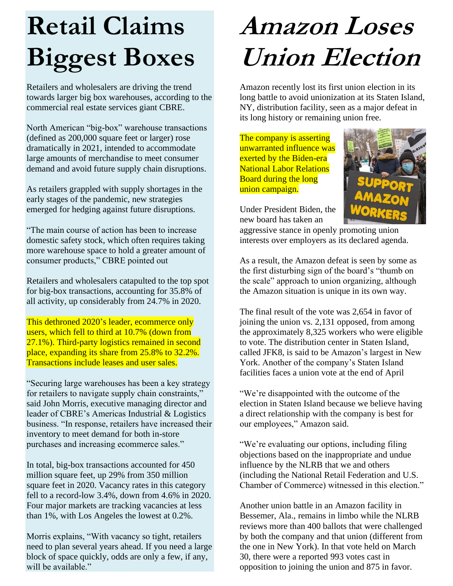### **Retail Claims Biggest Boxes**

Retailers and wholesalers are driving the trend towards larger big box warehouses, according to the commercial real estate services giant CBRE.

North American "big-box" warehouse transactions (defined as 200,000 square feet or larger) rose dramatically in 2021, intended to accommodate large amounts of merchandise to meet consumer demand and avoid future supply chain disruptions.

As retailers grappled with supply shortages in the early stages of the pandemic, new strategies emerged for hedging against future disruptions.

"The main course of action has been to increase domestic safety stock, which often requires taking more warehouse space to hold a greater amount of consumer products," CBRE pointed out

Retailers and wholesalers catapulted to the top spot for big-box transactions, accounting for 35.8% of all activity, up considerably from 24.7% in 2020.

This dethroned 2020's leader, ecommerce only users, which fell to third at 10.7% (down from 27.1%). Third-party logistics remained in second place, expanding its share from 25.8% to 32.2%. Transactions include leases and user sales.

"Securing large warehouses has been a key strategy for retailers to navigate supply chain constraints," said John Morris, executive managing director and leader of CBRE's Americas Industrial & Logistics business. "In response, retailers have increased their inventory to meet demand for both in-store purchases and increasing ecommerce sales."

In total, big-box transactions accounted for 450 million square feet, up 29% from 350 million square feet in 2020. Vacancy rates in this category fell to a record-low 3.4%, down from 4.6% in 2020. Four major markets are tracking vacancies at less than 1%, with Los Angeles the lowest at 0.2%.

Morris explains, "With vacancy so tight, retailers need to plan several years ahead. If you need a large block of space quickly, odds are only a few, if any, will be available."

#### **Amazon Loses Union Election**

Amazon recently lost its first union election in its long battle to avoid unionization at its Staten Island, NY, distribution facility, seen as a major defeat in its long history or remaining union free.

The company is asserting unwarranted influence was exerted by the Biden-era National Labor Relations Board during the long union campaign.



Under President Biden, the new board has taken an

aggressive stance in openly promoting union interests over employers as its declared agenda.

As a result, the Amazon defeat is seen by some as the first disturbing sign of the board's "thumb on the scale" approach to union organizing, although the Amazon situation is unique in its own way.

The final result of the vote was 2,654 in favor of joining the union vs. 2,131 opposed, from among the approximately 8,325 workers who were eligible to vote. The distribution center in Staten Island, called JFK8, is said to be Amazon's largest in New York. Another of the company's Staten Island facilities faces a union vote at the end of April

"We're disappointed with the outcome of the election in Staten Island because we believe having a direct relationship with the company is best for our employees," Amazon said.

"We're evaluating our options, including filing objections based on the inappropriate and undue influence by the NLRB that we and others (including the National Retail Federation and U.S. Chamber of Commerce) witnessed in this election."

Another union battle in an Amazon facility in Bessemer, Ala., remains in limbo while the NLRB reviews more than 400 ballots that were challenged by both the company and that union (different from the one in New York). In that vote held on March 30, there were a reported 993 votes cast in opposition to joining the union and 875 in favor.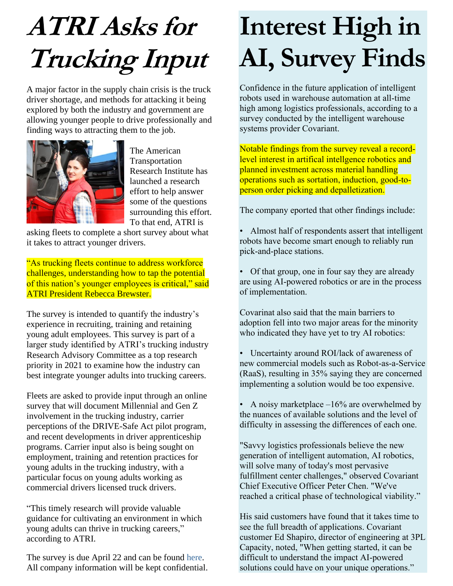## **ATRI Asks for Trucking Input**

A major factor in the supply chain crisis is the truck driver shortage, and methods for attacking it being explored by both the industry and government are allowing younger people to drive professionally and finding ways to attracting them to the job.



The American Transportation Research Institute has launched a research effort to help answer some of the questions surrounding this effort. To that end, ATRI is

asking fleets to complete a short survey about what it takes to attract younger drivers.

"As trucking fleets continue to address workforce challenges, understanding how to tap the potential of this nation's younger employees is critical," said ATRI President Rebecca Brewster.

The survey is intended to quantify the industry's experience in recruiting, training and retaining young adult employees. This survey is part of a larger study identified by ATRI's trucking industry Research Advisory Committee as a top research priority in 2021 to examine how the industry can best integrate younger adults into trucking careers.

Fleets are asked to provide input through an online survey that will document Millennial and Gen Z involvement in the trucking industry, carrier perceptions of the DRIVE-Safe Act pilot program, and recent developments in driver apprenticeship programs. Carrier input also is being sought on employment, training and retention practices for young adults in the trucking industry, with a particular focus on young adults working as commercial drivers licensed truck drivers.

"This timely research will provide valuable guidance for cultivating an environment in which young adults can thrive in trucking careers," according to ATRI.

The survey is due April 22 and can be found [here.](https://www.research.net/r/Motor-Carrier-Young-Employee) All company information will be kept confidential.

### **Interest High in AI, Survey Finds**

Confidence in the future application of intelligent robots used in warehouse automation at all-time high among logistics professionals, according to a survey conducted by the intelligent warehouse systems provider Covariant.

Notable findings from the survey reveal a recordlevel interest in artifical intellgence robotics and planned investment across material handling operations such as sortation, induction, good-toperson order picking and depalletization.

The company eported that other findings include:

- Almost half of respondents assert that intelligent robots have become smart enough to reliably run pick-and-place stations.
- Of that group, one in four say they are already are using AI-powered robotics or are in the process of implementation.

Covarinat also said that the main barriers to adoption fell into two major areas for the minority who indicated they have yet to try AI robotics:

- Uncertainty around ROI/lack of awareness of new commercial models such as Robot-as-a-Service (RaaS), resulting in 35% saying they are concerned implementing a solution would be too expensive.
- A noisy marketplace  $-16\%$  are overwhelmed by the nuances of available solutions and the level of difficulty in assessing the differences of each one.

"Savvy logistics professionals believe the new generation of intelligent automation, AI robotics, will solve many of today's most pervasive fulfillment center challenges," observed Covariant Chief Executive Officer Peter Chen. "We've reached a critical phase of technological viability."

His said customers have found that it takes time to see the full breadth of applications. Covariant customer Ed Shapiro, director of engineering at 3PL Capacity, noted, "When getting started, it can be difficult to understand the impact AI-powered solutions could have on your unique operations."